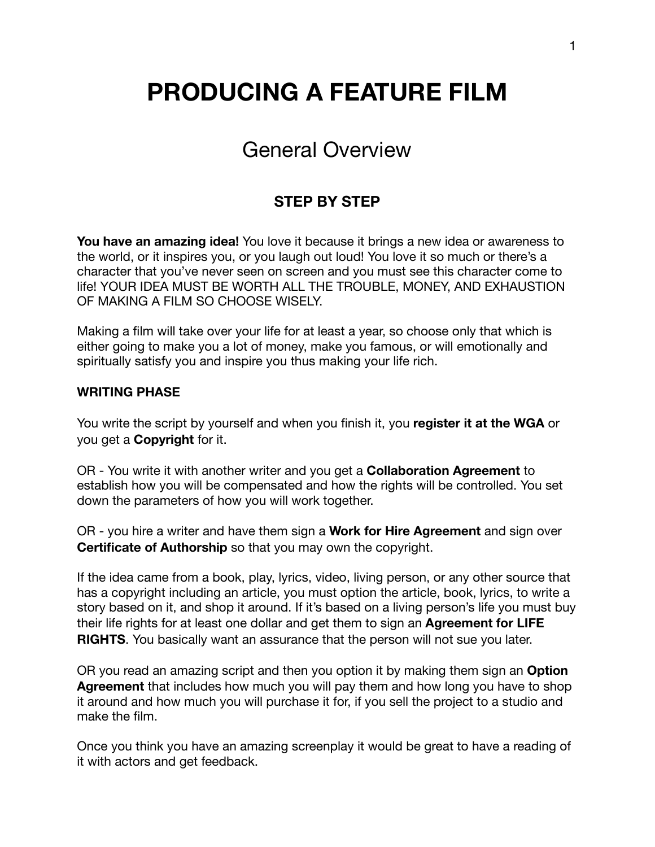# **PRODUCING A FEATURE FILM**

## General Overview

### **STEP BY STEP**

**You have an amazing idea!** You love it because it brings a new idea or awareness to the world, or it inspires you, or you laugh out loud! You love it so much or there's a character that you've never seen on screen and you must see this character come to life! YOUR IDEA MUST BE WORTH ALL THE TROUBLE, MONEY, AND EXHAUSTION OF MAKING A FILM SO CHOOSE WISELY.

Making a film will take over your life for at least a year, so choose only that which is either going to make you a lot of money, make you famous, or will emotionally and spiritually satisfy you and inspire you thus making your life rich.

#### **WRITING PHASE**

You write the script by yourself and when you finish it, you **register it at the WGA** or you get a **Copyright** for it.

OR - You write it with another writer and you get a **Collaboration Agreement** to establish how you will be compensated and how the rights will be controlled. You set down the parameters of how you will work together.

OR - you hire a writer and have them sign a **Work for Hire Agreement** and sign over **Certificate of Authorship** so that you may own the copyright.

If the idea came from a book, play, lyrics, video, living person, or any other source that has a copyright including an article, you must option the article, book, lyrics, to write a story based on it, and shop it around. If it's based on a living person's life you must buy their life rights for at least one dollar and get them to sign an **Agreement for LIFE RIGHTS**. You basically want an assurance that the person will not sue you later.

OR you read an amazing script and then you option it by making them sign an **Option Agreement** that includes how much you will pay them and how long you have to shop it around and how much you will purchase it for, if you sell the project to a studio and make the film.

Once you think you have an amazing screenplay it would be great to have a reading of it with actors and get feedback.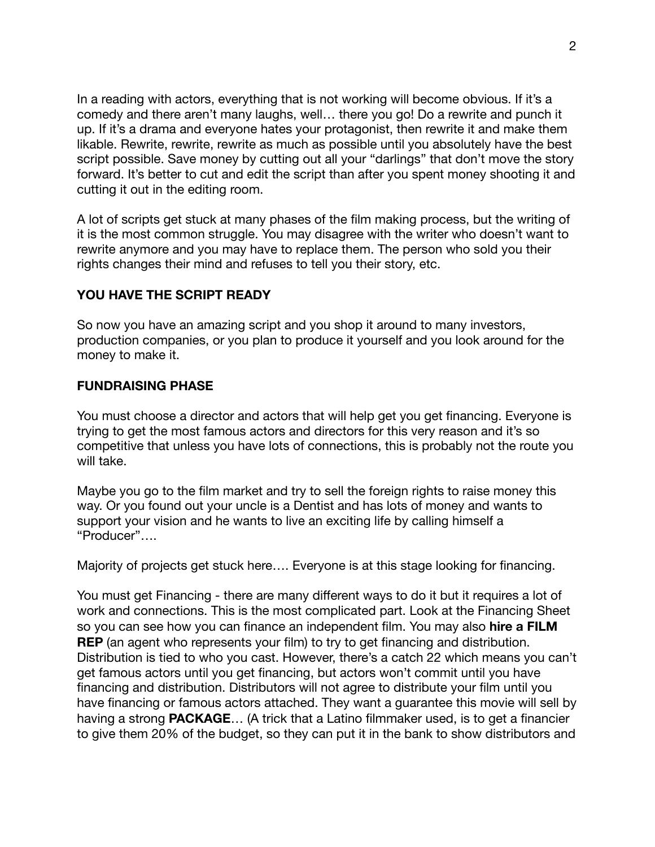In a reading with actors, everything that is not working will become obvious. If it's a comedy and there aren't many laughs, well… there you go! Do a rewrite and punch it up. If it's a drama and everyone hates your protagonist, then rewrite it and make them likable. Rewrite, rewrite, rewrite as much as possible until you absolutely have the best script possible. Save money by cutting out all your "darlings" that don't move the story forward. It's better to cut and edit the script than after you spent money shooting it and cutting it out in the editing room.

A lot of scripts get stuck at many phases of the film making process, but the writing of it is the most common struggle. You may disagree with the writer who doesn't want to rewrite anymore and you may have to replace them. The person who sold you their rights changes their mind and refuses to tell you their story, etc.

#### **YOU HAVE THE SCRIPT READY**

So now you have an amazing script and you shop it around to many investors, production companies, or you plan to produce it yourself and you look around for the money to make it.

#### **FUNDRAISING PHASE**

You must choose a director and actors that will help get you get financing. Everyone is trying to get the most famous actors and directors for this very reason and it's so competitive that unless you have lots of connections, this is probably not the route you will take.

Maybe you go to the film market and try to sell the foreign rights to raise money this way. Or you found out your uncle is a Dentist and has lots of money and wants to support your vision and he wants to live an exciting life by calling himself a "Producer"….

Majority of projects get stuck here…. Everyone is at this stage looking for financing.

You must get Financing - there are many different ways to do it but it requires a lot of work and connections. This is the most complicated part. Look at the Financing Sheet so you can see how you can finance an independent film. You may also **hire a FILM REP** (an agent who represents your film) to try to get financing and distribution. Distribution is tied to who you cast. However, there's a catch 22 which means you can't get famous actors until you get financing, but actors won't commit until you have financing and distribution. Distributors will not agree to distribute your film until you have financing or famous actors attached. They want a guarantee this movie will sell by having a strong **PACKAGE**… (A trick that a Latino filmmaker used, is to get a financier to give them 20% of the budget, so they can put it in the bank to show distributors and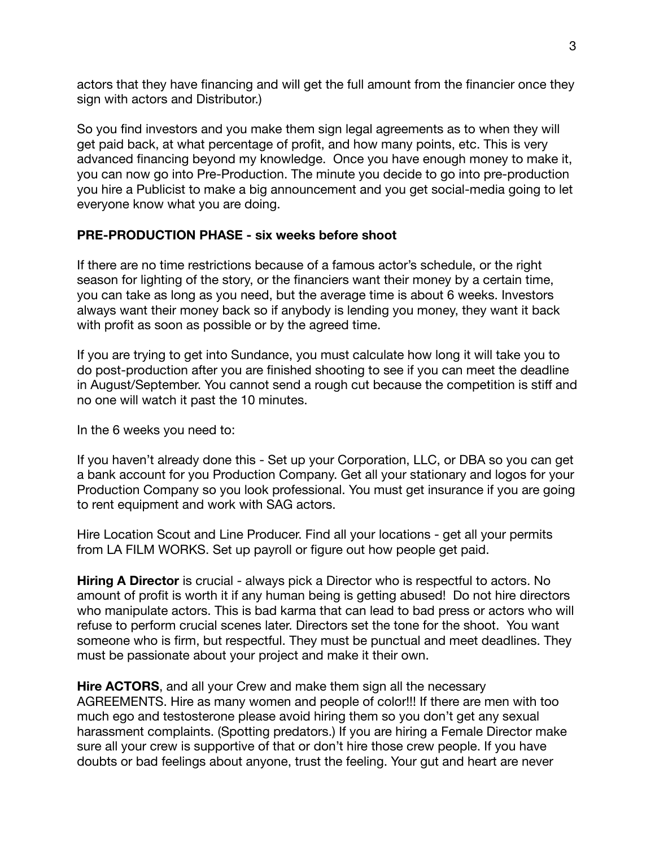actors that they have financing and will get the full amount from the financier once they sign with actors and Distributor.)

So you find investors and you make them sign legal agreements as to when they will get paid back, at what percentage of profit, and how many points, etc. This is very advanced financing beyond my knowledge. Once you have enough money to make it, you can now go into Pre-Production. The minute you decide to go into pre-production you hire a Publicist to make a big announcement and you get social-media going to let everyone know what you are doing.

#### **PRE-PRODUCTION PHASE - six weeks before shoot**

If there are no time restrictions because of a famous actor's schedule, or the right season for lighting of the story, or the financiers want their money by a certain time, you can take as long as you need, but the average time is about 6 weeks. Investors always want their money back so if anybody is lending you money, they want it back with profit as soon as possible or by the agreed time.

If you are trying to get into Sundance, you must calculate how long it will take you to do post-production after you are finished shooting to see if you can meet the deadline in August/September. You cannot send a rough cut because the competition is stiff and no one will watch it past the 10 minutes.

In the 6 weeks you need to:

If you haven't already done this - Set up your Corporation, LLC, or DBA so you can get a bank account for you Production Company. Get all your stationary and logos for your Production Company so you look professional. You must get insurance if you are going to rent equipment and work with SAG actors.

Hire Location Scout and Line Producer. Find all your locations - get all your permits from LA FILM WORKS. Set up payroll or figure out how people get paid.

**Hiring A Director** is crucial - always pick a Director who is respectful to actors. No amount of profit is worth it if any human being is getting abused! Do not hire directors who manipulate actors. This is bad karma that can lead to bad press or actors who will refuse to perform crucial scenes later. Directors set the tone for the shoot. You want someone who is firm, but respectful. They must be punctual and meet deadlines. They must be passionate about your project and make it their own.

**Hire ACTORS**, and all your Crew and make them sign all the necessary AGREEMENTS. Hire as many women and people of color!!! If there are men with too much ego and testosterone please avoid hiring them so you don't get any sexual harassment complaints. (Spotting predators.) If you are hiring a Female Director make sure all your crew is supportive of that or don't hire those crew people. If you have doubts or bad feelings about anyone, trust the feeling. Your gut and heart are never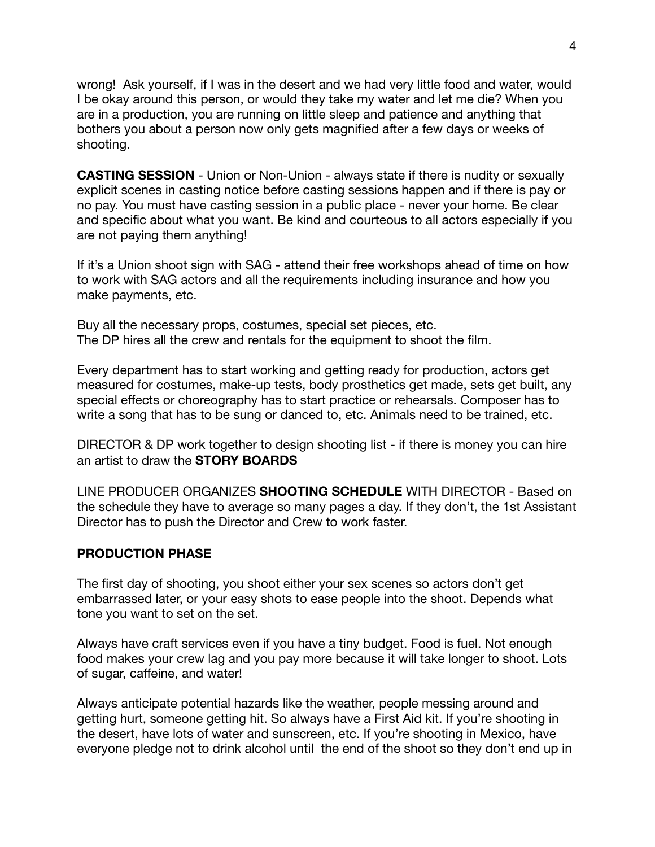wrong! Ask yourself, if I was in the desert and we had very little food and water, would I be okay around this person, or would they take my water and let me die? When you are in a production, you are running on little sleep and patience and anything that bothers you about a person now only gets magnified after a few days or weeks of shooting.

**CASTING SESSION** - Union or Non-Union - always state if there is nudity or sexually explicit scenes in casting notice before casting sessions happen and if there is pay or no pay. You must have casting session in a public place - never your home. Be clear and specific about what you want. Be kind and courteous to all actors especially if you are not paying them anything!

If it's a Union shoot sign with SAG - attend their free workshops ahead of time on how to work with SAG actors and all the requirements including insurance and how you make payments, etc.

Buy all the necessary props, costumes, special set pieces, etc. The DP hires all the crew and rentals for the equipment to shoot the film.

Every department has to start working and getting ready for production, actors get measured for costumes, make-up tests, body prosthetics get made, sets get built, any special effects or choreography has to start practice or rehearsals. Composer has to write a song that has to be sung or danced to, etc. Animals need to be trained, etc.

DIRECTOR & DP work together to design shooting list - if there is money you can hire an artist to draw the **STORY BOARDS** 

LINE PRODUCER ORGANIZES **SHOOTING SCHEDULE** WITH DIRECTOR - Based on the schedule they have to average so many pages a day. If they don't, the 1st Assistant Director has to push the Director and Crew to work faster.

#### **PRODUCTION PHASE**

The first day of shooting, you shoot either your sex scenes so actors don't get embarrassed later, or your easy shots to ease people into the shoot. Depends what tone you want to set on the set.

Always have craft services even if you have a tiny budget. Food is fuel. Not enough food makes your crew lag and you pay more because it will take longer to shoot. Lots of sugar, caffeine, and water!

Always anticipate potential hazards like the weather, people messing around and getting hurt, someone getting hit. So always have a First Aid kit. If you're shooting in the desert, have lots of water and sunscreen, etc. If you're shooting in Mexico, have everyone pledge not to drink alcohol until the end of the shoot so they don't end up in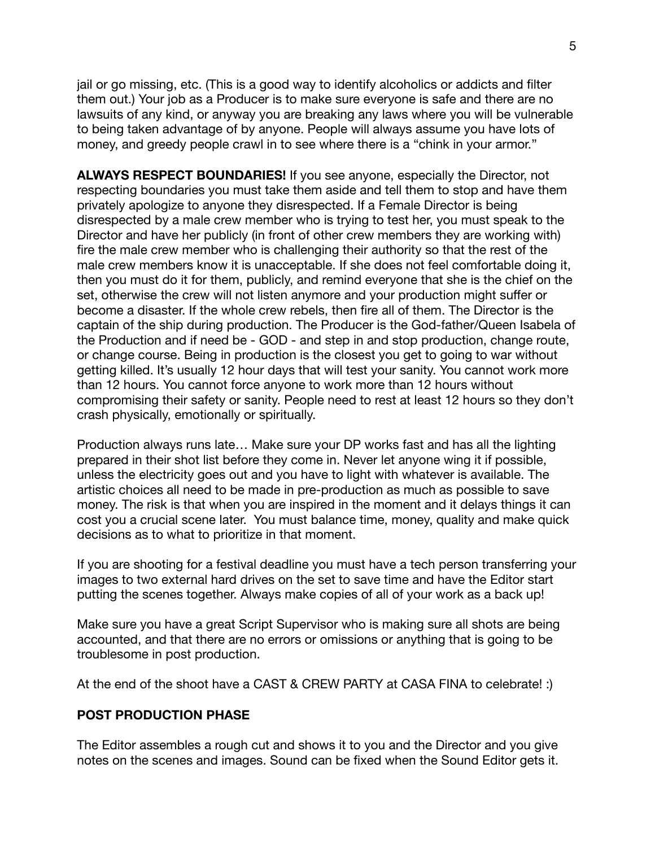jail or go missing, etc. (This is a good way to identify alcoholics or addicts and filter them out.) Your job as a Producer is to make sure everyone is safe and there are no lawsuits of any kind, or anyway you are breaking any laws where you will be vulnerable to being taken advantage of by anyone. People will always assume you have lots of money, and greedy people crawl in to see where there is a "chink in your armor."

**ALWAYS RESPECT BOUNDARIES!** If you see anyone, especially the Director, not respecting boundaries you must take them aside and tell them to stop and have them privately apologize to anyone they disrespected. If a Female Director is being disrespected by a male crew member who is trying to test her, you must speak to the Director and have her publicly (in front of other crew members they are working with) fire the male crew member who is challenging their authority so that the rest of the male crew members know it is unacceptable. If she does not feel comfortable doing it, then you must do it for them, publicly, and remind everyone that she is the chief on the set, otherwise the crew will not listen anymore and your production might suffer or become a disaster. If the whole crew rebels, then fire all of them. The Director is the captain of the ship during production. The Producer is the God-father/Queen Isabela of the Production and if need be - GOD - and step in and stop production, change route, or change course. Being in production is the closest you get to going to war without getting killed. It's usually 12 hour days that will test your sanity. You cannot work more than 12 hours. You cannot force anyone to work more than 12 hours without compromising their safety or sanity. People need to rest at least 12 hours so they don't crash physically, emotionally or spiritually.

Production always runs late… Make sure your DP works fast and has all the lighting prepared in their shot list before they come in. Never let anyone wing it if possible, unless the electricity goes out and you have to light with whatever is available. The artistic choices all need to be made in pre-production as much as possible to save money. The risk is that when you are inspired in the moment and it delays things it can cost you a crucial scene later. You must balance time, money, quality and make quick decisions as to what to prioritize in that moment.

If you are shooting for a festival deadline you must have a tech person transferring your images to two external hard drives on the set to save time and have the Editor start putting the scenes together. Always make copies of all of your work as a back up!

Make sure you have a great Script Supervisor who is making sure all shots are being accounted, and that there are no errors or omissions or anything that is going to be troublesome in post production.

At the end of the shoot have a CAST & CREW PARTY at CASA FINA to celebrate! :)

#### **POST PRODUCTION PHASE**

The Editor assembles a rough cut and shows it to you and the Director and you give notes on the scenes and images. Sound can be fixed when the Sound Editor gets it.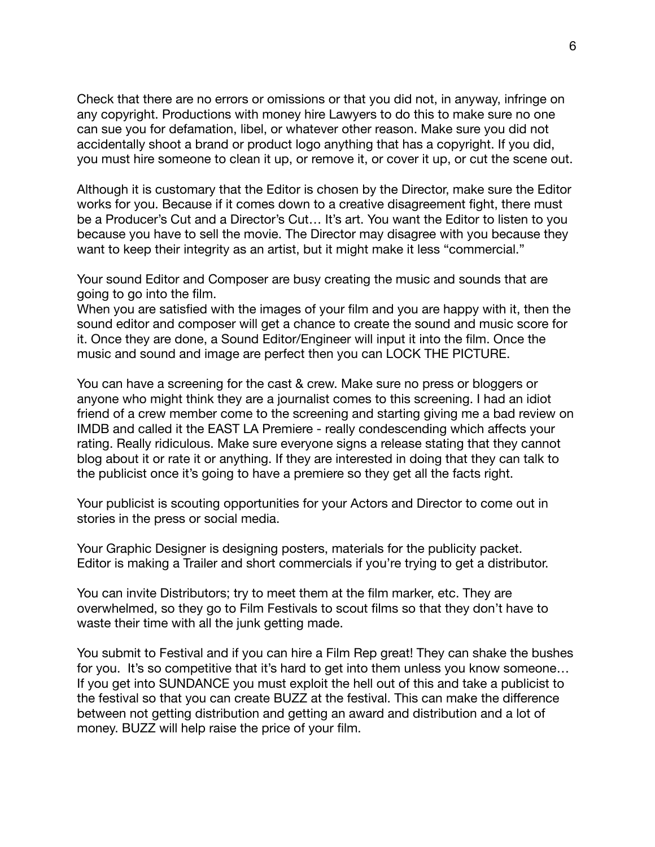Check that there are no errors or omissions or that you did not, in anyway, infringe on any copyright. Productions with money hire Lawyers to do this to make sure no one can sue you for defamation, libel, or whatever other reason. Make sure you did not accidentally shoot a brand or product logo anything that has a copyright. If you did, you must hire someone to clean it up, or remove it, or cover it up, or cut the scene out.

Although it is customary that the Editor is chosen by the Director, make sure the Editor works for you. Because if it comes down to a creative disagreement fight, there must be a Producer's Cut and a Director's Cut… It's art. You want the Editor to listen to you because you have to sell the movie. The Director may disagree with you because they want to keep their integrity as an artist, but it might make it less "commercial."

Your sound Editor and Composer are busy creating the music and sounds that are going to go into the film.

When you are satisfied with the images of your film and you are happy with it, then the sound editor and composer will get a chance to create the sound and music score for it. Once they are done, a Sound Editor/Engineer will input it into the film. Once the music and sound and image are perfect then you can LOCK THE PICTURE.

You can have a screening for the cast & crew. Make sure no press or bloggers or anyone who might think they are a journalist comes to this screening. I had an idiot friend of a crew member come to the screening and starting giving me a bad review on IMDB and called it the EAST LA Premiere - really condescending which affects your rating. Really ridiculous. Make sure everyone signs a release stating that they cannot blog about it or rate it or anything. If they are interested in doing that they can talk to the publicist once it's going to have a premiere so they get all the facts right.

Your publicist is scouting opportunities for your Actors and Director to come out in stories in the press or social media.

Your Graphic Designer is designing posters, materials for the publicity packet. Editor is making a Trailer and short commercials if you're trying to get a distributor.

You can invite Distributors; try to meet them at the film marker, etc. They are overwhelmed, so they go to Film Festivals to scout films so that they don't have to waste their time with all the junk getting made.

You submit to Festival and if you can hire a Film Rep great! They can shake the bushes for you. It's so competitive that it's hard to get into them unless you know someone... If you get into SUNDANCE you must exploit the hell out of this and take a publicist to the festival so that you can create BUZZ at the festival. This can make the difference between not getting distribution and getting an award and distribution and a lot of money. BUZZ will help raise the price of your film.